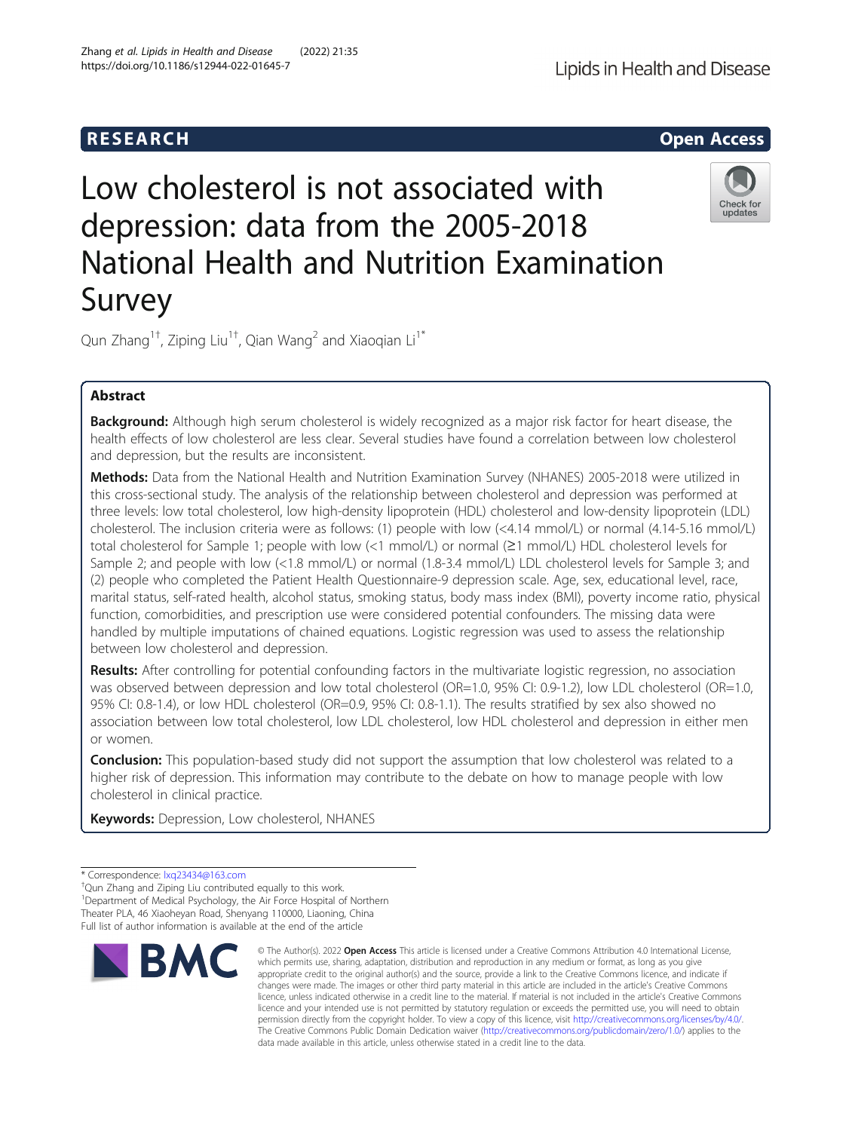# Low cholesterol is not associated with depression: data from the 2005-2018 National Health and Nutrition Examination Survey

Qun Zhang $^{\rm 1+}$ , Ziping Liu $^{\rm 1+}$ , Qian Wang $^{\rm 2}$  and Xiaoqian Li $^{\rm 1*}$ 

## Abstract

Background: Although high serum cholesterol is widely recognized as a major risk factor for heart disease, the health effects of low cholesterol are less clear. Several studies have found a correlation between low cholesterol and depression, but the results are inconsistent.

Methods: Data from the National Health and Nutrition Examination Survey (NHANES) 2005-2018 were utilized in this cross-sectional study. The analysis of the relationship between cholesterol and depression was performed at three levels: low total cholesterol, low high-density lipoprotein (HDL) cholesterol and low-density lipoprotein (LDL) cholesterol. The inclusion criteria were as follows: (1) people with low (<4.14 mmol/L) or normal (4.14-5.16 mmol/L) total cholesterol for Sample 1; people with low (<1 mmol/L) or normal (≥1 mmol/L) HDL cholesterol levels for Sample 2; and people with low (<1.8 mmol/L) or normal (1.8-3.4 mmol/L) LDL cholesterol levels for Sample 3; and (2) people who completed the Patient Health Questionnaire-9 depression scale. Age, sex, educational level, race, marital status, self-rated health, alcohol status, smoking status, body mass index (BMI), poverty income ratio, physical function, comorbidities, and prescription use were considered potential confounders. The missing data were handled by multiple imputations of chained equations. Logistic regression was used to assess the relationship between low cholesterol and depression.

Results: After controlling for potential confounding factors in the multivariate logistic regression, no association was observed between depression and low total cholesterol (OR=1.0, 95% CI: 0.9-1.2), low LDL cholesterol (OR=1.0, 95% CI: 0.8-1.4), or low HDL cholesterol (OR=0.9, 95% CI: 0.8-1.1). The results stratified by sex also showed no association between low total cholesterol, low LDL cholesterol, low HDL cholesterol and depression in either men or women.

**Conclusion:** This population-based study did not support the assumption that low cholesterol was related to a higher risk of depression. This information may contribute to the debate on how to manage people with low cholesterol in clinical practice.

Keywords: Depression, Low cholesterol, NHANES

<sup>†</sup>Qun Zhang and Ziping Liu contributed equally to this work.

<sup>1</sup>Department of Medical Psychology, the Air Force Hospital of Northern Theater PLA, 46 Xiaoheyan Road, Shenyang 110000, Liaoning, China Full list of author information is available at the end of the article

## © The Author(s), 2022 **Open Access** This article is licensed under a Creative Commons Attribution 4.0 International License, **BMC**



Lipids in Health and Disease





<sup>\*</sup> Correspondence: [lxq23434@163.com](mailto:lxq23434@163.com) †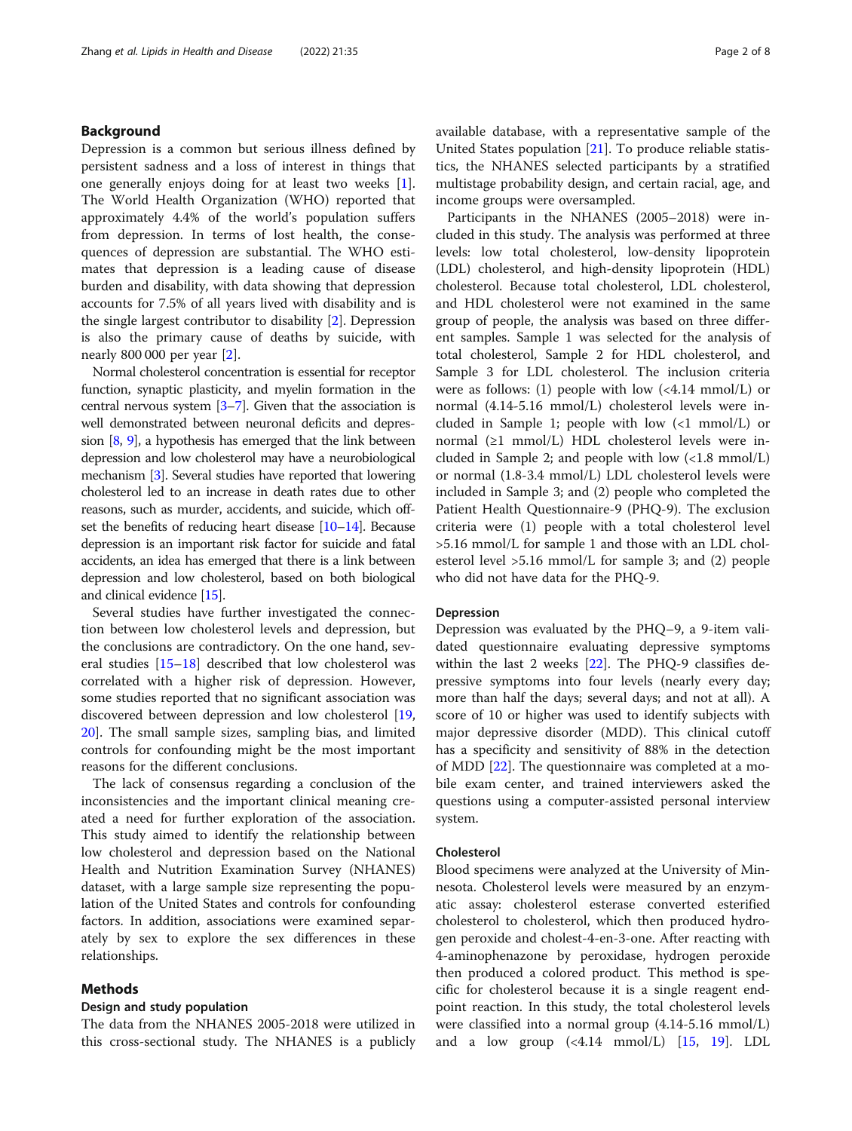#### Background

Depression is a common but serious illness defined by persistent sadness and a loss of interest in things that one generally enjoys doing for at least two weeks [\[1](#page-6-0)]. The World Health Organization (WHO) reported that approximately 4.4% of the world's population suffers from depression. In terms of lost health, the consequences of depression are substantial. The WHO estimates that depression is a leading cause of disease burden and disability, with data showing that depression accounts for 7.5% of all years lived with disability and is the single largest contributor to disability [[2\]](#page-6-0). Depression is also the primary cause of deaths by suicide, with nearly 800 000 per year [\[2\]](#page-6-0).

Normal cholesterol concentration is essential for receptor function, synaptic plasticity, and myelin formation in the central nervous system [\[3](#page-7-0)–[7](#page-7-0)]. Given that the association is well demonstrated between neuronal deficits and depression  $[8, 9]$  $[8, 9]$  $[8, 9]$  $[8, 9]$ , a hypothesis has emerged that the link between depression and low cholesterol may have a neurobiological mechanism [[3](#page-7-0)]. Several studies have reported that lowering cholesterol led to an increase in death rates due to other reasons, such as murder, accidents, and suicide, which offset the benefits of reducing heart disease [\[10](#page-7-0)–[14\]](#page-7-0). Because depression is an important risk factor for suicide and fatal accidents, an idea has emerged that there is a link between depression and low cholesterol, based on both biological and clinical evidence [\[15\]](#page-7-0).

Several studies have further investigated the connection between low cholesterol levels and depression, but the conclusions are contradictory. On the one hand, several studies [[15](#page-7-0)–[18](#page-7-0)] described that low cholesterol was correlated with a higher risk of depression. However, some studies reported that no significant association was discovered between depression and low cholesterol [[19](#page-7-0), [20\]](#page-7-0). The small sample sizes, sampling bias, and limited controls for confounding might be the most important reasons for the different conclusions.

The lack of consensus regarding a conclusion of the inconsistencies and the important clinical meaning created a need for further exploration of the association. This study aimed to identify the relationship between low cholesterol and depression based on the National Health and Nutrition Examination Survey (NHANES) dataset, with a large sample size representing the population of the United States and controls for confounding factors. In addition, associations were examined separately by sex to explore the sex differences in these relationships.

#### Methods

#### Design and study population

The data from the NHANES 2005-2018 were utilized in this cross-sectional study. The NHANES is a publicly available database, with a representative sample of the United States population [[21](#page-7-0)]. To produce reliable statistics, the NHANES selected participants by a stratified multistage probability design, and certain racial, age, and income groups were oversampled.

Participants in the NHANES (2005–2018) were included in this study. The analysis was performed at three levels: low total cholesterol, low-density lipoprotein (LDL) cholesterol, and high-density lipoprotein (HDL) cholesterol. Because total cholesterol, LDL cholesterol, and HDL cholesterol were not examined in the same group of people, the analysis was based on three different samples. Sample 1 was selected for the analysis of total cholesterol, Sample 2 for HDL cholesterol, and Sample 3 for LDL cholesterol. The inclusion criteria were as follows: (1) people with low (<4.14 mmol/L) or normal (4.14-5.16 mmol/L) cholesterol levels were included in Sample 1; people with low  $\langle$ <1 mmol/L) or normal (≥1 mmol/L) HDL cholesterol levels were included in Sample 2; and people with low  $\langle$ <1.8 mmol/L) or normal (1.8-3.4 mmol/L) LDL cholesterol levels were included in Sample 3; and (2) people who completed the Patient Health Questionnaire-9 (PHQ-9). The exclusion criteria were (1) people with a total cholesterol level >5.16 mmol/L for sample 1 and those with an LDL cholesterol level >5.16 mmol/L for sample 3; and (2) people who did not have data for the PHQ-9.

#### Depression

Depression was evaluated by the PHQ–9, a 9-item validated questionnaire evaluating depressive symptoms within the last 2 weeks [[22\]](#page-7-0). The PHQ-9 classifies depressive symptoms into four levels (nearly every day; more than half the days; several days; and not at all). A score of 10 or higher was used to identify subjects with major depressive disorder (MDD). This clinical cutoff has a specificity and sensitivity of 88% in the detection of MDD [\[22\]](#page-7-0). The questionnaire was completed at a mobile exam center, and trained interviewers asked the questions using a computer-assisted personal interview system.

#### Cholesterol

Blood specimens were analyzed at the University of Minnesota. Cholesterol levels were measured by an enzymatic assay: cholesterol esterase converted esterified cholesterol to cholesterol, which then produced hydrogen peroxide and cholest-4-en-3-one. After reacting with 4-aminophenazone by peroxidase, hydrogen peroxide then produced a colored product. This method is specific for cholesterol because it is a single reagent endpoint reaction. In this study, the total cholesterol levels were classified into a normal group (4.14-5.16 mmol/L) and a low group (<4.14 mmol/L) [[15,](#page-7-0) [19\]](#page-7-0). LDL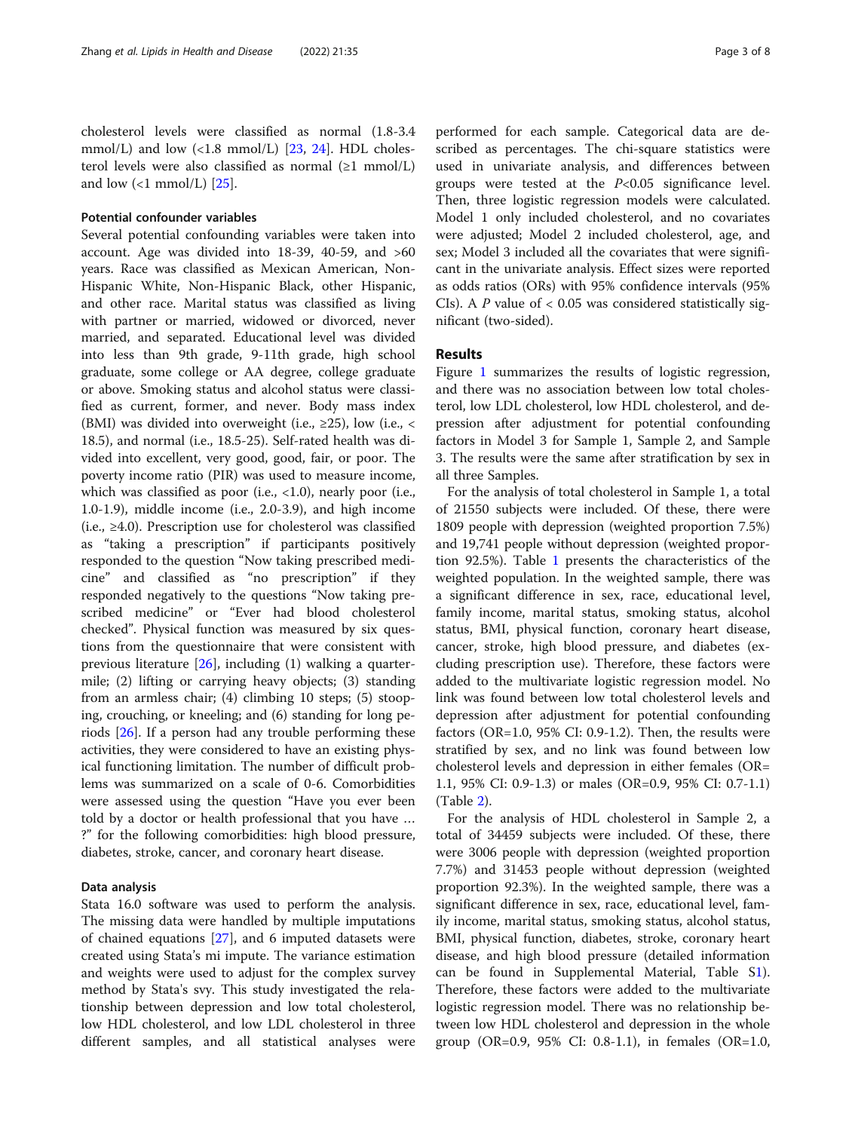#### Potential confounder variables

Several potential confounding variables were taken into account. Age was divided into 18-39, 40-59, and >60 years. Race was classified as Mexican American, Non-Hispanic White, Non-Hispanic Black, other Hispanic, and other race. Marital status was classified as living with partner or married, widowed or divorced, never married, and separated. Educational level was divided into less than 9th grade, 9-11th grade, high school graduate, some college or AA degree, college graduate or above. Smoking status and alcohol status were classified as current, former, and never. Body mass index (BMI) was divided into overweight (i.e.,  $\geq$ 25), low (i.e., < 18.5), and normal (i.e., 18.5-25). Self-rated health was divided into excellent, very good, good, fair, or poor. The poverty income ratio (PIR) was used to measure income, which was classified as poor (i.e.,  $\langle 1.0 \rangle$ , nearly poor (i.e., 1.0-1.9), middle income (i.e., 2.0-3.9), and high income (i.e.,  $\geq 4.0$ ). Prescription use for cholesterol was classified as "taking a prescription" if participants positively responded to the question "Now taking prescribed medicine" and classified as "no prescription" if they responded negatively to the questions "Now taking prescribed medicine" or "Ever had blood cholesterol checked". Physical function was measured by six questions from the questionnaire that were consistent with previous literature [[26\]](#page-7-0), including (1) walking a quartermile; (2) lifting or carrying heavy objects; (3) standing from an armless chair; (4) climbing 10 steps; (5) stooping, crouching, or kneeling; and (6) standing for long periods [[26\]](#page-7-0). If a person had any trouble performing these activities, they were considered to have an existing physical functioning limitation. The number of difficult problems was summarized on a scale of 0-6. Comorbidities were assessed using the question "Have you ever been told by a doctor or health professional that you have … ?" for the following comorbidities: high blood pressure, diabetes, stroke, cancer, and coronary heart disease.

#### Data analysis

Stata 16.0 software was used to perform the analysis. The missing data were handled by multiple imputations of chained equations [\[27](#page-7-0)], and 6 imputed datasets were created using Stata's mi impute. The variance estimation and weights were used to adjust for the complex survey method by Stata's svy. This study investigated the relationship between depression and low total cholesterol, low HDL cholesterol, and low LDL cholesterol in three different samples, and all statistical analyses were performed for each sample. Categorical data are described as percentages. The chi-square statistics were used in univariate analysis, and differences between groups were tested at the  $P<0.05$  significance level. Then, three logistic regression models were calculated. Model 1 only included cholesterol, and no covariates were adjusted; Model 2 included cholesterol, age, and sex; Model 3 included all the covariates that were significant in the univariate analysis. Effect sizes were reported as odds ratios (ORs) with 95% confidence intervals (95% CIs). A  $P$  value of  $< 0.05$  was considered statistically significant (two-sided).

#### Results

Figure [1](#page-3-0) summarizes the results of logistic regression, and there was no association between low total cholesterol, low LDL cholesterol, low HDL cholesterol, and depression after adjustment for potential confounding factors in Model 3 for Sample 1, Sample 2, and Sample 3. The results were the same after stratification by sex in all three Samples.

For the analysis of total cholesterol in Sample 1, a total of 21550 subjects were included. Of these, there were 1809 people with depression (weighted proportion 7.5%) and 19,741 people without depression (weighted proportion 92.5%). Table [1](#page-4-0) presents the characteristics of the weighted population. In the weighted sample, there was a significant difference in sex, race, educational level, family income, marital status, smoking status, alcohol status, BMI, physical function, coronary heart disease, cancer, stroke, high blood pressure, and diabetes (excluding prescription use). Therefore, these factors were added to the multivariate logistic regression model. No link was found between low total cholesterol levels and depression after adjustment for potential confounding factors (OR=1.0, 95% CI: 0.9-1.2). Then, the results were stratified by sex, and no link was found between low cholesterol levels and depression in either females (OR= 1.1, 95% CI: 0.9-1.3) or males (OR=0.9, 95% CI: 0.7-1.1) (Table [2\)](#page-5-0).

For the analysis of HDL cholesterol in Sample 2, a total of 34459 subjects were included. Of these, there were 3006 people with depression (weighted proportion 7.7%) and 31453 people without depression (weighted proportion 92.3%). In the weighted sample, there was a significant difference in sex, race, educational level, family income, marital status, smoking status, alcohol status, BMI, physical function, diabetes, stroke, coronary heart disease, and high blood pressure (detailed information can be found in Supplemental Material, Table [S1](#page-6-0)). Therefore, these factors were added to the multivariate logistic regression model. There was no relationship between low HDL cholesterol and depression in the whole group (OR=0.9, 95% CI: 0.8-1.1), in females (OR=1.0,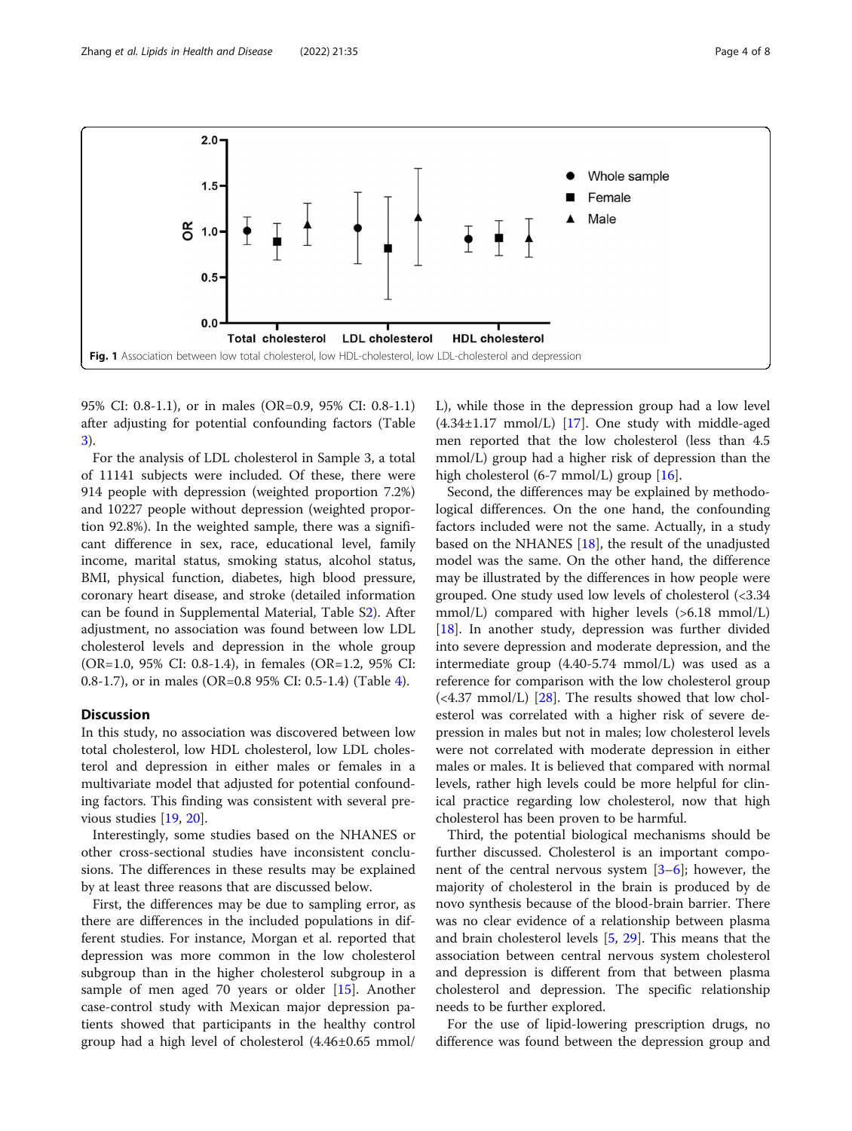<span id="page-3-0"></span>

95% CI: 0.8-1.1), or in males (OR=0.9, 95% CI: 0.8-1.1) after adjusting for potential confounding factors (Table [3\)](#page-5-0).

For the analysis of LDL cholesterol in Sample 3, a total of 11141 subjects were included. Of these, there were 914 people with depression (weighted proportion 7.2%) and 10227 people without depression (weighted proportion 92.8%). In the weighted sample, there was a significant difference in sex, race, educational level, family income, marital status, smoking status, alcohol status, BMI, physical function, diabetes, high blood pressure, coronary heart disease, and stroke (detailed information can be found in Supplemental Material, Table S[2\)](#page-6-0). After adjustment, no association was found between low LDL cholesterol levels and depression in the whole group (OR=1.0, 95% CI: 0.8-1.4), in females (OR=1.2, 95% CI: 0.8-1.7), or in males (OR=0.8 95% CI: 0.5-1.4) (Table [4](#page-6-0)).

#### **Discussion**

In this study, no association was discovered between low total cholesterol, low HDL cholesterol, low LDL cholesterol and depression in either males or females in a multivariate model that adjusted for potential confounding factors. This finding was consistent with several previous studies [\[19](#page-7-0), [20\]](#page-7-0).

Interestingly, some studies based on the NHANES or other cross-sectional studies have inconsistent conclusions. The differences in these results may be explained by at least three reasons that are discussed below.

First, the differences may be due to sampling error, as there are differences in the included populations in different studies. For instance, Morgan et al. reported that depression was more common in the low cholesterol subgroup than in the higher cholesterol subgroup in a sample of men aged 70 years or older [[15\]](#page-7-0). Another case-control study with Mexican major depression patients showed that participants in the healthy control group had a high level of cholesterol (4.46±0.65 mmol/ L), while those in the depression group had a low level (4.34±1.17 mmol/L) [\[17](#page-7-0)]. One study with middle-aged men reported that the low cholesterol (less than 4.5 mmol/L) group had a higher risk of depression than the high cholesterol (6-7 mmol/L) group [[16\]](#page-7-0).

Second, the differences may be explained by methodological differences. On the one hand, the confounding factors included were not the same. Actually, in a study based on the NHANES [[18](#page-7-0)], the result of the unadjusted model was the same. On the other hand, the difference may be illustrated by the differences in how people were grouped. One study used low levels of cholesterol (<3.34 mmol/L) compared with higher levels (>6.18 mmol/L) [[18\]](#page-7-0). In another study, depression was further divided into severe depression and moderate depression, and the intermediate group (4.40-5.74 mmol/L) was used as a reference for comparison with the low cholesterol group  $\left($  <4.37 mmol/L) [[28\]](#page-7-0). The results showed that low cholesterol was correlated with a higher risk of severe depression in males but not in males; low cholesterol levels were not correlated with moderate depression in either males or males. It is believed that compared with normal levels, rather high levels could be more helpful for clinical practice regarding low cholesterol, now that high cholesterol has been proven to be harmful.

Third, the potential biological mechanisms should be further discussed. Cholesterol is an important component of the central nervous system  $[3-6]$  $[3-6]$  $[3-6]$  $[3-6]$ ; however, the majority of cholesterol in the brain is produced by de novo synthesis because of the blood-brain barrier. There was no clear evidence of a relationship between plasma and brain cholesterol levels [\[5](#page-7-0), [29\]](#page-7-0). This means that the association between central nervous system cholesterol and depression is different from that between plasma cholesterol and depression. The specific relationship needs to be further explored.

For the use of lipid-lowering prescription drugs, no difference was found between the depression group and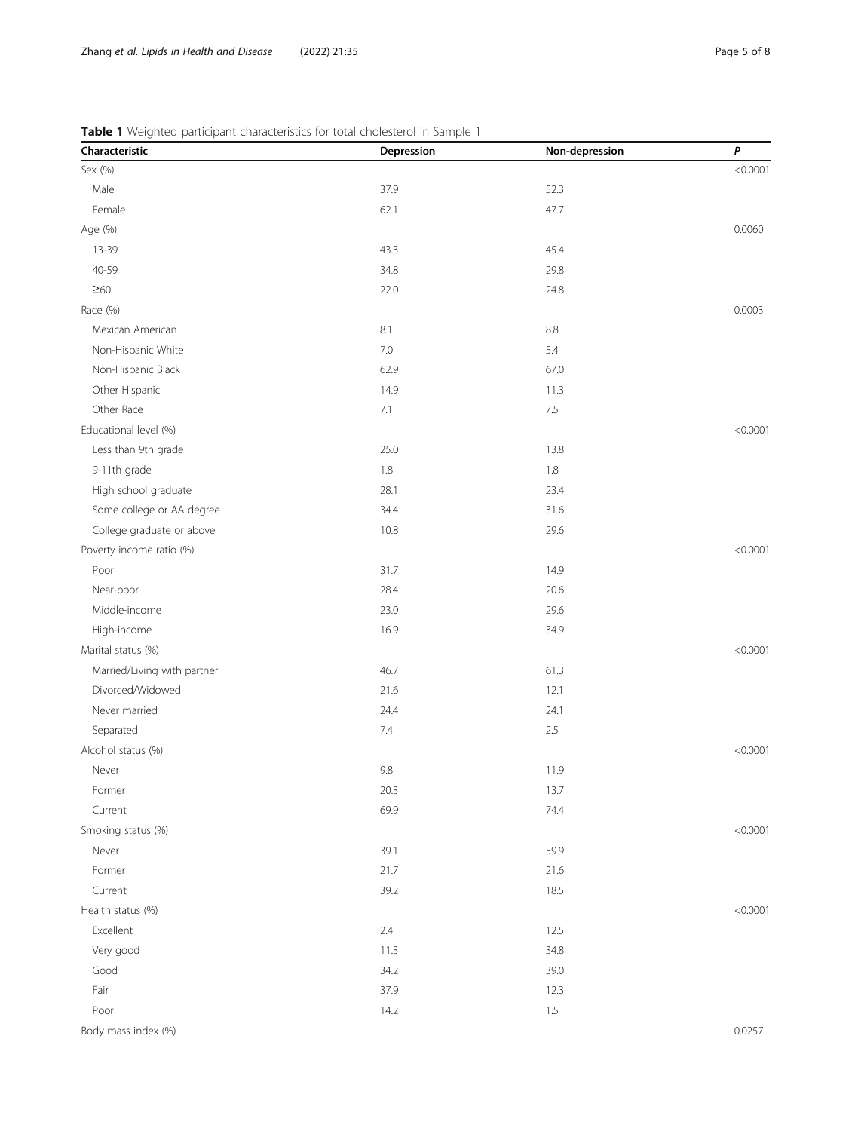| Characteristic              | Depression | Non-depression | P        |
|-----------------------------|------------|----------------|----------|
| Sex (%)                     |            |                | < 0.0001 |
| Male                        | 37.9       | 52.3           |          |
| Female                      | 62.1       | 47.7           |          |
| Age (%)                     |            |                | 0.0060   |
| 13-39                       | 43.3       | 45.4           |          |
| 40-59                       | 34.8       | 29.8           |          |
| $\geq 60$                   | 22.0       | 24.8           |          |
| Race (%)                    |            |                | 0.0003   |
| Mexican American            | 8.1        | 8.8            |          |
| Non-Hispanic White          | 7.0        | 5.4            |          |
| Non-Hispanic Black          | 62.9       | 67.0           |          |
| Other Hispanic              | 14.9       | 11.3           |          |
| Other Race                  | 7.1        | 7.5            |          |
| Educational level (%)       |            |                | < 0.0001 |
| Less than 9th grade         | 25.0       | 13.8           |          |
| 9-11th grade                | $1.8\,$    | 1.8            |          |
| High school graduate        | 28.1       | 23.4           |          |
| Some college or AA degree   | 34.4       | 31.6           |          |
| College graduate or above   | 10.8       | 29.6           |          |
| Poverty income ratio (%)    |            |                | < 0.0001 |
| Poor                        | 31.7       | 14.9           |          |
| Near-poor                   | 28.4       | 20.6           |          |
| Middle-income               | 23.0       | 29.6           |          |
| High-income                 | 16.9       | 34.9           |          |
| Marital status (%)          |            |                | < 0.0001 |
| Married/Living with partner | 46.7       | 61.3           |          |
| Divorced/Widowed            | 21.6       | 12.1           |          |
| Never married               | 24.4       | 24.1           |          |
| Separated                   | 7.4        | 2.5            |          |
| Alcohol status (%)          |            |                | < 0.0001 |
| Never                       | 9.8        | 11.9           |          |
| Former                      | 20.3       | 13.7           |          |
| Current                     | 69.9       | 74.4           |          |
| Smoking status (%)          |            |                | < 0.0001 |
| Never                       | 39.1       | 59.9           |          |
| Former                      | 21.7       | 21.6           |          |
| Current                     | 39.2       | 18.5           |          |
| Health status (%)           |            |                | < 0.0001 |
| Excellent                   | 2.4        | 12.5           |          |
| Very good                   | 11.3       | 34.8           |          |
| Good                        | 34.2       | 39.0           |          |
| Fair                        | 37.9       | 12.3           |          |
| Poor                        | 14.2       | $1.5\,$        |          |
| Body mass index (%)         |            |                | 0.0257   |

<span id="page-4-0"></span>Table 1 Weighted participant characteristics for total cholesterol in Sample 1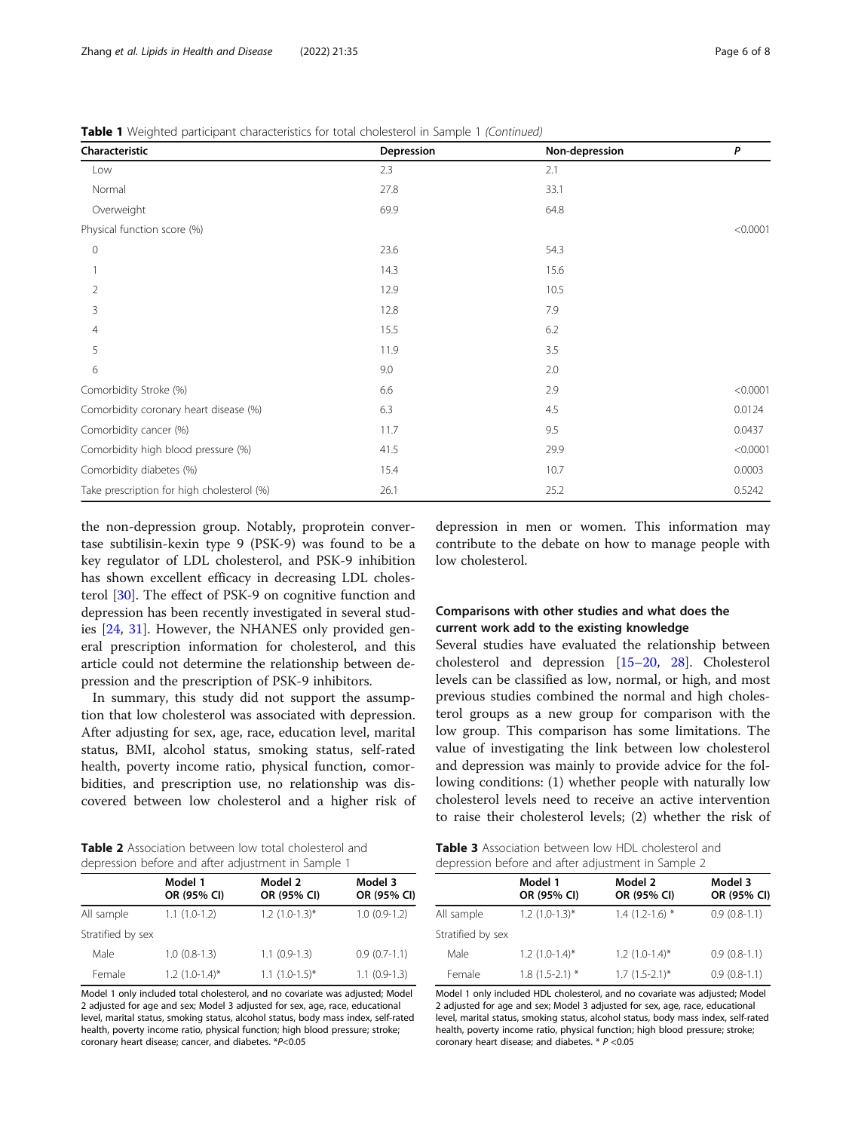<span id="page-5-0"></span>

| Characteristic                             | Depression | Non-depression | P        |
|--------------------------------------------|------------|----------------|----------|
| Low                                        | 2.3        | 2.1            |          |
| Normal                                     | 27.8       | 33.1           |          |
| Overweight                                 | 69.9       | 64.8           |          |
| Physical function score (%)                |            |                | < 0.0001 |
| $\mathbf 0$                                | 23.6       | 54.3           |          |
|                                            | 14.3       | 15.6           |          |
| 2                                          | 12.9       | 10.5           |          |
| 3                                          | 12.8       | 7.9            |          |
| $\overline{4}$                             | 15.5       | 6.2            |          |
| 5                                          | 11.9       | 3.5            |          |
| 6                                          | 9.0        | 2.0            |          |
| Comorbidity Stroke (%)                     | 6.6        | 2.9            | < 0.0001 |
| Comorbidity coronary heart disease (%)     | 6.3        | 4.5            | 0.0124   |
| Comorbidity cancer (%)                     | 11.7       | 9.5            | 0.0437   |
| Comorbidity high blood pressure (%)        | 41.5       | 29.9           | < 0.0001 |
| Comorbidity diabetes (%)                   | 15.4       | 10.7           | 0.0003   |
| Take prescription for high cholesterol (%) | 26.1       | 25.2           | 0.5242   |

the non-depression group. Notably, proprotein convertase subtilisin-kexin type 9 (PSK-9) was found to be a key regulator of LDL cholesterol, and PSK-9 inhibition has shown excellent efficacy in decreasing LDL cholesterol [[30\]](#page-7-0). The effect of PSK-9 on cognitive function and depression has been recently investigated in several studies [\[24](#page-7-0), [31\]](#page-7-0). However, the NHANES only provided general prescription information for cholesterol, and this article could not determine the relationship between depression and the prescription of PSK-9 inhibitors.

In summary, this study did not support the assumption that low cholesterol was associated with depression. After adjusting for sex, age, race, education level, marital status, BMI, alcohol status, smoking status, self-rated health, poverty income ratio, physical function, comorbidities, and prescription use, no relationship was discovered between low cholesterol and a higher risk of

depression in men or women. This information may contribute to the debate on how to manage people with low cholesterol.

### Comparisons with other studies and what does the current work add to the existing knowledge

Several studies have evaluated the relationship between cholesterol and depression [[15](#page-7-0)–[20](#page-7-0), [28\]](#page-7-0). Cholesterol levels can be classified as low, normal, or high, and most previous studies combined the normal and high cholesterol groups as a new group for comparison with the low group. This comparison has some limitations. The value of investigating the link between low cholesterol and depression was mainly to provide advice for the following conditions: (1) whether people with naturally low cholesterol levels need to receive an active intervention to raise their cholesterol levels; (2) whether the risk of

Table 2 Association between low total cholesterol and depression before and after adjustment in Sample 1

| depression before and arter adjustment in Sample T |                        |                        |                        |
|----------------------------------------------------|------------------------|------------------------|------------------------|
|                                                    | Model 1<br>OR (95% CI) | Model 2<br>OR (95% CI) | Model 3<br>OR (95% CI) |
| All sample                                         | $1.1(1.0-1.2)$         | $1.2$ (1.0-1.3)*       | $1.0(0.9-1.2)$         |
| Stratified by sex                                  |                        |                        |                        |
| Male                                               | $1.0(0.8-1.3)$         | $1.1(0.9-1.3)$         | $0.9(0.7-1.1)$         |
| Female                                             | $1.2$ $(1.0-1.4)$ *    | $1.1(1.0-1.5)^{*}$     | $1.1(0.9-1.3)$         |

Model 1 only included total cholesterol, and no covariate was adjusted; Model 2 adjusted for age and sex; Model 3 adjusted for sex, age, race, educational level, marital status, smoking status, alcohol status, body mass index, self-rated health, poverty income ratio, physical function; high blood pressure; stroke; coronary heart disease; cancer, and diabetes. \*P<0.05

Table 3 Association between low HDL cholesterol and depression before and after adjustment in Sample 2

| Model 1<br>OR (95% CI)         | Model 2<br>OR (95% CI) | Model 3<br>OR (95% CI) |
|--------------------------------|------------------------|------------------------|
| $1.2$ $(1.0-1.3)$ *            | $1.4(1.2-1.6)$ *       | $0.9(0.8-1.1)$         |
| Stratified by sex              |                        |                        |
| $1.2$ $(1.0-1.4)$ <sup>*</sup> | $1.2$ $(1.0-1.4)$ *    | $0.9(0.8-1.1)$         |
| $1.8(1.5-2.1)$ *               | $1.7(1.5-2.1)^{*}$     | $0.9(0.8-1.1)$         |
|                                |                        |                        |

Model 1 only included HDL cholesterol, and no covariate was adjusted; Model 2 adjusted for age and sex; Model 3 adjusted for sex, age, race, educational level, marital status, smoking status, alcohol status, body mass index, self-rated health, poverty income ratio, physical function; high blood pressure; stroke; coronary heart disease; and diabetes. \* P <0.05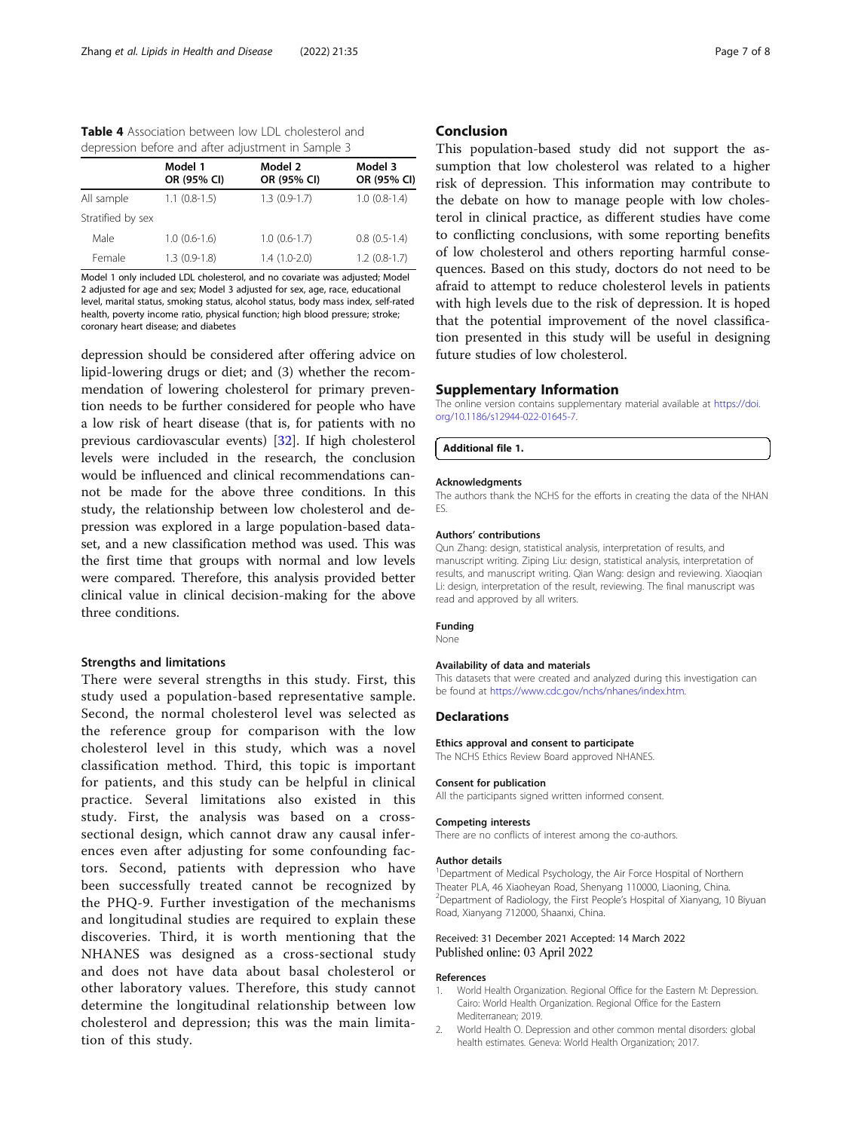<span id="page-6-0"></span>

| <b>Table 4</b> Association between low LDL cholesterol and |  |
|------------------------------------------------------------|--|
| depression before and after adjustment in Sample 3         |  |

|                   | Model 1<br>OR (95% CI) | Model 2<br>OR (95% CI) | Model 3<br>OR (95% CI) |
|-------------------|------------------------|------------------------|------------------------|
| All sample        | $1.1$ $(0.8-1.5)$      | $1.3(0.9-1.7)$         | $1.0(0.8-1.4)$         |
| Stratified by sex |                        |                        |                        |
| Male              | $1.0(0.6-1.6)$         | $1.0(0.6-1.7)$         | $0.8(0.5-1.4)$         |
| Female            | $1.3(0.9-1.8)$         | $1.4(1.0-2.0)$         | $1.2(0.8-1.7)$         |

Model 1 only included LDL cholesterol, and no covariate was adjusted; Model 2 adjusted for age and sex; Model 3 adjusted for sex, age, race, educational level, marital status, smoking status, alcohol status, body mass index, self-rated health, poverty income ratio, physical function; high blood pressure; stroke; coronary heart disease; and diabetes

depression should be considered after offering advice on lipid-lowering drugs or diet; and (3) whether the recommendation of lowering cholesterol for primary prevention needs to be further considered for people who have a low risk of heart disease (that is, for patients with no previous cardiovascular events) [\[32](#page-7-0)]. If high cholesterol levels were included in the research, the conclusion would be influenced and clinical recommendations cannot be made for the above three conditions. In this study, the relationship between low cholesterol and depression was explored in a large population-based dataset, and a new classification method was used. This was the first time that groups with normal and low levels were compared. Therefore, this analysis provided better clinical value in clinical decision-making for the above three conditions.

#### Strengths and limitations

There were several strengths in this study. First, this study used a population-based representative sample. Second, the normal cholesterol level was selected as the reference group for comparison with the low cholesterol level in this study, which was a novel classification method. Third, this topic is important for patients, and this study can be helpful in clinical practice. Several limitations also existed in this study. First, the analysis was based on a crosssectional design, which cannot draw any causal inferences even after adjusting for some confounding factors. Second, patients with depression who have been successfully treated cannot be recognized by the PHQ-9. Further investigation of the mechanisms and longitudinal studies are required to explain these discoveries. Third, it is worth mentioning that the NHANES was designed as a cross-sectional study and does not have data about basal cholesterol or other laboratory values. Therefore, this study cannot determine the longitudinal relationship between low cholesterol and depression; this was the main limitation of this study.

#### Conclusion

This population-based study did not support the assumption that low cholesterol was related to a higher risk of depression. This information may contribute to the debate on how to manage people with low cholesterol in clinical practice, as different studies have come to conflicting conclusions, with some reporting benefits of low cholesterol and others reporting harmful consequences. Based on this study, doctors do not need to be afraid to attempt to reduce cholesterol levels in patients with high levels due to the risk of depression. It is hoped that the potential improvement of the novel classification presented in this study will be useful in designing future studies of low cholesterol.

#### Supplementary Information

The online version contains supplementary material available at [https://doi.](https://doi.org/10.1186/s12944-022-01645-7) [org/10.1186/s12944-022-01645-7.](https://doi.org/10.1186/s12944-022-01645-7)

#### Additional file 1.

#### **Acknowledaments**

The authors thank the NCHS for the efforts in creating the data of the NHAN ES.

#### Authors' contributions

Qun Zhang: design, statistical analysis, interpretation of results, and manuscript writing. Ziping Liu: design, statistical analysis, interpretation of results, and manuscript writing. Qian Wang: design and reviewing. Xiaoqian Li: design, interpretation of the result, reviewing. The final manuscript was read and approved by all writers.

#### Funding

None

#### Availability of data and materials

This datasets that were created and analyzed during this investigation can be found at [https://www.cdc.gov/nchs/nhanes/index.htm.](https://www.cdc.gov/nchs/nhanes/index.htm)

#### **Declarations**

#### Ethics approval and consent to participate

The NCHS Ethics Review Board approved NHANES.

#### Consent for publication

All the participants signed written informed consent.

#### Competing interests

There are no conflicts of interest among the co-authors.

#### Author details

<sup>1</sup>Department of Medical Psychology, the Air Force Hospital of Northern Theater PLA, 46 Xiaoheyan Road, Shenyang 110000, Liaoning, China. <sup>2</sup>Department of Radiology, the First People's Hospital of Xianyang, 10 Biyuan Road, Xianyang 712000, Shaanxi, China.

#### Received: 31 December 2021 Accepted: 14 March 2022 Published online: 03 April 2022

#### References

- 1. World Health Organization. Regional Office for the Eastern M: Depression. Cairo: World Health Organization. Regional Office for the Eastern Mediterranean; 2019.
- 2. World Health O. Depression and other common mental disorders: global health estimates. Geneva: World Health Organization; 2017.